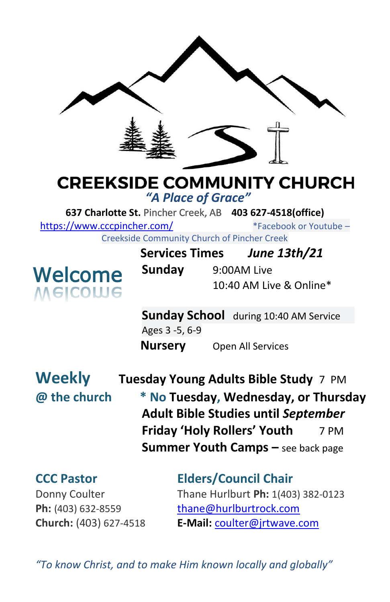

# **CREEKSIDE COMMUNITY CHURCH**

*"A Place of Grace"*

**637 Charlotte St.** Pincher Creek, AB **403 627-4518(office)** 

<https://www.cccpincher.com/>\*Facebook or Youtube –

Creekside Community Church of Pincher Creek



| <u>ooliitiviitiv olivi oli oli tiivitoi oli ol</u> |  |                         |
|----------------------------------------------------|--|-------------------------|
| <b>Services Times</b>                              |  | June 13th/21            |
| Sunday                                             |  | 9:00AM Live             |
|                                                    |  | 10:40 AM Live & Online* |

**Sunday School** during 10:40 AM Service Ages 3 -5, 6-9 **Nursery** Open All Services

**Weekly Tuesday Young Adults Bible Study** 7 PM **@ the church \* No Tuesday, Wednesday, or Thursday Adult Bible Studies until** *September* **Friday 'Holy Rollers' Youth** 7 PM **Summer Youth Camps –** see back page

**CCC Pastor Elders/Council Chair** Donny Coulter Thane Hurlburt **Ph:** 1(403) 382-0123 **Ph:** (403) 632-8559 [thane@hurlburtrock.com](mailto:thane@hurlburtrock.com) **Church:** (403) 627-4518 **E-Mail:** [coulter@jrtwave.com](mailto:coulter@jrtwave.com)

*"To know Christ, and to make Him known locally and globally"*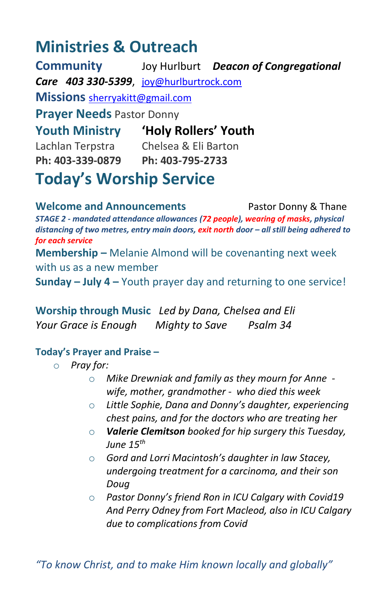# **Ministries & Outreach**

**Community** Joy Hurlburt *Deacon of Congregational Care 403 330-5399*, [joy@hurlburtrock.com](mailto:joy@hurlburtrock.com) **Missions** [sherryakitt@gmail.com](mailto:sherryakitt@gmail.com) **Prayer Needs** Pastor Donny **Youth Ministry 'Holy Rollers' Youth** Lachlan Terpstra Chelsea & Eli Barton **Ph: 403-339-0879 Ph: 403-795-2733 Today's Worship Service**

**Welcome and Announcements** Pastor Donny & Thane *STAGE 2 - mandated attendance allowances (72 people), wearing of masks, physical distancing of two metres, entry main doors, exit north door – all still being adhered to for each service* **Membership –** Melanie Almond will be covenanting next week with us as a new member **Sunday – July 4 –** Youth prayer day and returning to one service!

**Worship through Music** *Led by Dana, Chelsea and Eli Your Grace is Enough Mighty to Save Psalm 34*

## **Today's Prayer and Praise –**

- o *Pray for:* 
	- o *Mike Drewniak and family as they mourn for Anne wife, mother, grandmother - who died this week*
	- o *Little Sophie, Dana and Donny's daughter, experiencing chest pains, and for the doctors who are treating her*
	- o *Valerie Clemitson booked for hip surgery this Tuesday, June 15th*
	- o *Gord and Lorri Macintosh's daughter in law Stacey, undergoing treatment for a carcinoma, and their son Doug*
	- o *Pastor Donny's friend Ron in ICU Calgary with Covid19 And Perry Odney from Fort Macleod, also in ICU Calgary due to complications from Covid*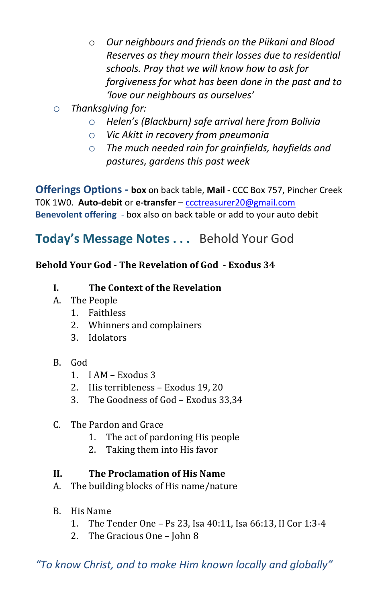- o *Our neighbours and friends on the Piikani and Blood Reserves as they mourn their losses due to residential schools. Pray that we will know how to ask for forgiveness for what has been done in the past and to 'love our neighbours as ourselves'*
- o *Thanksgiving for:*
	- o *Helen's (Blackburn) safe arrival here from Bolivia*
	- o *Vic Akitt in recovery from pneumonia*
	- o *The much needed rain for grainfields, hayfields and pastures, gardens this past week*

**Offerings Options - box** on back table, **Mail** - CCC Box 757, Pincher Creek T0K 1W0. **Auto-debit** or **e-transfer** – [ccctreasurer20@gmail.com](mailto:ccctreasurer20@gmail.com) **Benevolent offering** - box also on back table or add to your auto debit

# **Today's Message Notes . . .** Behold Your God

# **Behold Your God - The Revelation of God - Exodus 34**

- **I. The Context of the Revelation**
- A. The People
	- 1. Faithless
	- 2. Whinners and complainers
	- 3. Idolators
- B. God
	- 1. I AM Exodus 3
	- 2. His terribleness Exodus 19, 20
	- 3. The Goodness of God Exodus 33,34
- C. The Pardon and Grace
	- 1. The act of pardoning His people
	- 2. Taking them into His favor

## **II. The Proclamation of His Name**

- A. The building blocks of His name/nature
- B. His Name
	- 1. The Tender One Ps 23, Isa 40:11, Isa 66:13, II Cor 1:3-4
	- 2. The Gracious One John 8

*"To know Christ, and to make Him known locally and globally"*